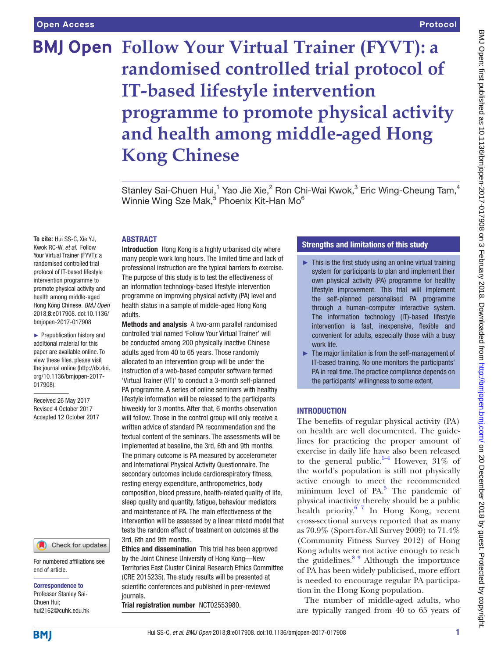# **BMJ Open Follow Your Virtual Trainer (FYVT): a randomised controlled trial protocol of IT-based lifestyle intervention programme to promote physical activity and health among middle-aged Hong Kong Chinese**

Stanley Sai-Chuen Hui,<sup>1</sup> Yao Jie Xie,<sup>2</sup> Ron Chi-Wai Kwok,<sup>3</sup> Eric Wing-Cheung Tam,<sup>4</sup> Winnie Wing Sze Mak,<sup>5</sup> Phoenix Kit-Han Mo<sup>6</sup>

#### **ABSTRACT**

**To cite:** Hui SS-C, Xie YJ, Kwok RC-W, *et al*. Follow Your Virtual Trainer (FYVT): a randomised controlled trial protocol of IT-based lifestyle intervention programme to promote physical activity and health among middle-aged Hong Kong Chinese. *BMJ Open* 2018;8:e017908. doi:10.1136/ bmjopen-2017-017908

► Prepublication history and additional material for this paper are available online. To view these files, please visit the journal online [\(http://dx.doi.](http://dx.doi.org/10.1136/bmjopen-2017-017908) [org/10.1136/bmjopen-2017-](http://dx.doi.org/10.1136/bmjopen-2017-017908) [017908\)](http://dx.doi.org/10.1136/bmjopen-2017-017908).

Received 26 May 2017 Revised 4 October 2017 Accepted 12 October 2017

# Check for updates

For numbered affiliations see end of article.

#### Correspondence to

Professor Stanley Sai-Chuen Hui; hui2162@cuhk.edu.hk Introduction Hong Kong is a highly urbanised city where many people work long hours. The limited time and lack of professional instruction are the typical barriers to exercise. The purpose of this study is to test the effectiveness of an information technology-based lifestyle intervention programme on improving physical activity (PA) level and health status in a sample of middle-aged Hong Kong adults.

Methods and analysis A two-arm parallel randomised controlled trial named 'Follow Your Virtual Trainer' will be conducted among 200 physically inactive Chinese adults aged from 40 to 65 years. Those randomly allocated to an intervention group will be under the instruction of a web-based computer software termed 'Virtual Trainer (VT)' to conduct a 3-month self-planned PA programme. A series of online seminars with healthy lifestyle information will be released to the participants biweekly for 3 months. After that, 6 months observation will follow. Those in the control group will only receive a written advice of standard PA recommendation and the textual content of the seminars. The assessments will be implemented at baseline, the 3rd, 6th and 9th months. The primary outcome is PA measured by accelerometer and International Physical Activity Questionnaire. The secondary outcomes include cardiorespiratory fitness. resting energy expenditure, anthropometrics, body composition, blood pressure, health-related quality of life, sleep quality and quantity, fatigue, behaviour mediators and maintenance of PA. The main effectiveness of the intervention will be assessed by a linear mixed model that tests the random effect of treatment on outcomes at the 3rd, 6th and 9th months.

Ethics and dissemination This trial has been approved by the Joint Chinese University of Hong Kong—New Territories East Cluster Clinical Research Ethics Committee (CRE 2015235). The study results will be presented at scientific conferences and published in peer-reviewed journals.

Trial registration number [NCT02553980.](NCT02553980)

# Strengths and limitations of this study

- $\blacktriangleright$  This is the first study using an online virtual training system for participants to plan and implement their own physical activity (PA) programme for healthy lifestyle improvement. This trial will implement the self-planned personalised PA programme through a human–computer interactive system. The information technology (IT)-based lifestyle intervention is fast, inexpensive, flexible and convenient for adults, especially those with a busy work life.
- ► The major limitation is from the self-management of IT-based training. No one monitors the participants' PA in real time. The practice compliance depends on the participants' willingness to some extent.

## **INTRODUCTION**

The benefits of regular physical activity (PA) on health are well documented. The guidelines for practicing the proper amount of exercise in daily life have also been released to the general public.<sup>[1–4](#page-7-0)</sup> However, 31% of the world's population is still not physically active enough to meet the recommended minimum level of  $PA$ <sup>[5](#page-7-1)</sup>. The pandemic of physical inactivity thereby should be a public health priority. $6^{7}$  In Hong Kong, recent cross-sectional surveys reported that as many as 70.9% (Sport-for-All Survey 2009) to 71.4% (Community Fitness Survey 2012) of Hong Kong adults were not active enough to reach the guidelines. $89$  Although the importance of PA has been widely publicised, more effort is needed to encourage regular PA participation in the Hong Kong population.

The number of middle-aged adults, who are typically ranged from 40 to 65 years of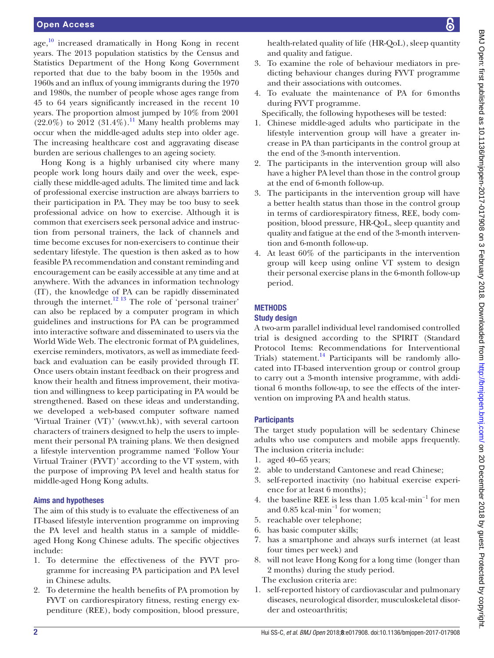age,<sup>10</sup> increased dramatically in Hong Kong in recent years. The 2013 population statistics by the Census and Statistics Department of the Hong Kong Government reported that due to the baby boom in the 1950s and 1960s and an influx of young immigrants during the 1970 and 1980s, the number of people whose ages range from 45 to 64 years significantly increased in the recent 10 years. The proportion almost jumped by 10% from 2001  $(22.0\%)$  to 2012  $(31.4\%)$ .<sup>11</sup> Many health problems may occur when the middle-aged adults step into older age. The increasing healthcare cost and aggravating disease burden are serious challenges to an ageing society.

Hong Kong is a highly urbanised city where many people work long hours daily and over the week, especially these middle-aged adults. The limited time and lack of professional exercise instruction are always barriers to their participation in PA. They may be too busy to seek professional advice on how to exercise. Although it is common that exercisers seek personal advice and instruction from personal trainers, the lack of channels and time become excuses for non-exercisers to continue their sedentary lifestyle. The question is then asked as to how feasible PA recommendation and constant reminding and encouragement can be easily accessible at any time and at anywhere. With the advances in information technology (IT), the knowledge of PA can be rapidly disseminated through the internet.<sup>[12 13](#page-7-6)</sup> The role of 'personal trainer' can also be replaced by a computer program in which guidelines and instructions for PA can be programmed into interactive software and disseminated to users via the World Wide Web. The electronic format of PA guidelines, exercise reminders, motivators, as well as immediate feedback and evaluation can be easily provided through IT. Once users obtain instant feedback on their progress and know their health and fitness improvement, their motivation and willingness to keep participating in PA would be strengthened. Based on these ideas and understanding, we developed a web-based computer software named 'Virtual Trainer (VT)' [\(www.vt.hk](www.vt.hk)), with several cartoon characters of trainers designed to help the users to implement their personal PA training plans. We then designed a lifestyle intervention programme named 'Follow Your Virtual Trainer (FYVT)' according to the VT system, with the purpose of improving PA level and health status for middle-aged Hong Kong adults.

#### Aims and hypotheses

The aim of this study is to evaluate the effectiveness of an IT-based lifestyle intervention programme on improving the PA level and health status in a sample of middleaged Hong Kong Chinese adults. The specific objectives include:

- 1. To determine the effectiveness of the FYVT programme for increasing PA participation and PA level in Chinese adults.
- 2. To determine the health benefits of PA promotion by FYVT on cardiorespiratory fitness, resting energy expenditure (REE), body composition, blood pressure,

health-related quality of life (HR-QoL), sleep quantity and quality and fatigue.

- 3. To examine the role of behaviour mediators in predicting behaviour changes during FYVT programme and their associations with outcomes.
- 4. To evaluate the maintenance of PA for 6months during FYVT programme.

Specifically, the following hypotheses will be tested:

- 1. Chinese middle-aged adults who participate in the lifestyle intervention group will have a greater increase in PA than participants in the control group at the end of the 3-month intervention.
- 2. The participants in the intervention group will also have a higher PA level than those in the control group at the end of 6-month follow-up.
- 3. The participants in the intervention group will have a better health status than those in the control group in terms of cardiorespiratory fitness, REE, body composition, blood pressure, HR-QoL, sleep quantity and quality and fatigue at the end of the 3-month intervention and 6-month follow-up.
- 4. At least 60% of the participants in the intervention group will keep using online VT system to design their personal exercise plans in the 6-month follow-up period.

#### **METHODS**

#### Study design

A two-arm parallel individual level randomised controlled trial is designed according to the SPIRIT (Standard Protocol Items: Recommendations for Interventional Trials) statement.<sup>14</sup> Participants will be randomly allocated into IT-based intervention group or control group to carry out a 3-month intensive programme, with additional 6 months follow-up, to see the effects of the intervention on improving PA and health status.

#### **Participants**

The target study population will be sedentary Chinese adults who use computers and mobile apps frequently. The inclusion criteria include:

- 1. aged 40–65 years;
- 2. able to understand Cantonese and read Chinese;
- 3. self-reported inactivity (no habitual exercise experience for at least 6 months);
- 4. the baseline REE is less than 1.05 kcal·min−1 for men and 0.85 kcal·min−1 for women;
- 5. reachable over telephone;
- 6. has basic computer skills;
- 7. has a smartphone and always surfs internet (at least four times per week) and
- 8. will not leave Hong Kong for a long time (longer than 2 months) during the study period. The exclusion criteria are:
- 1. self-reported history of cardiovascular and pulmonary diseases, neurological disorder, musculoskeletal disorder and osteoarthritis;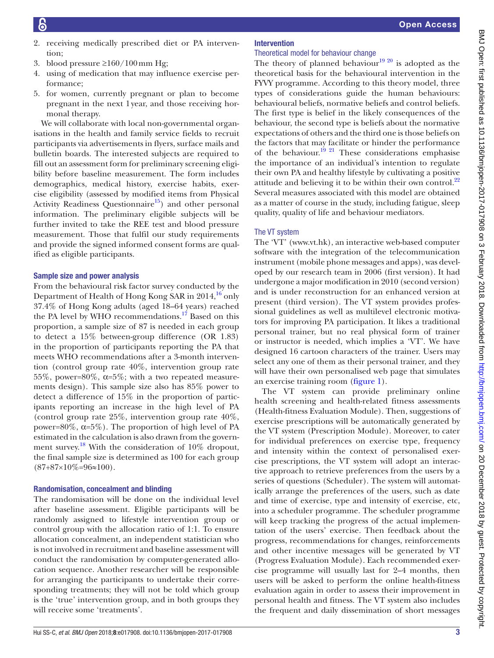- 2. receiving medically prescribed diet or PA intervention;
- 3. blood pressure ≥160/100 mm Hg;
- 4. using of medication that may influence exercise performance;
- 5. for women, currently pregnant or plan to become pregnant in the next 1year, and those receiving hormonal therapy.

We will collaborate with local non-governmental organisations in the health and family service fields to recruit participants via advertisements in flyers, surface mails and bulletin boards. The interested subjects are required to fill out an assessment form for preliminary screening eligibility before baseline measurement. The form includes demographics, medical history, exercise habits, exercise eligibility (assessed by modified items from Physical Activity Readiness Questionnaire<sup>15</sup>) and other personal information. The preliminary eligible subjects will be further invited to take the REE test and blood pressure measurement. Those that fulfil our study requirements and provide the signed informed consent forms are qualified as eligible participants.

#### Sample size and power analysis

From the behavioural risk factor survey conducted by the Department of Health of Hong Kong SAR in  $2014<sup>16</sup>$  $2014<sup>16</sup>$  $2014<sup>16</sup>$  only 37.4% of Hong Kong adults (aged 18–64 years) reached the PA level by WHO recommendations.<sup>[17](#page-8-3)</sup> Based on this proportion, a sample size of 87 is needed in each group to detect a 15% between-group difference (OR 1.83) in the proportion of participants reporting the PA that meets WHO recommendations after a 3-month intervention (control group rate 40%, intervention group rate 55%, power=80%,  $\alpha$ =5%; with a two repeated measurements design). This sample size also has 85% power to detect a difference of 15% in the proportion of participants reporting an increase in the high level of PA (control group rate 25%, intervention group rate 40%, power=80%,  $\alpha$ =5%). The proportion of high level of PA estimated in the calculation is also drawn from the government survey.<sup>18</sup> With the consideration of 10% dropout, the final sample size is determined as 100 for each group  $(87+87\times10\% = 96 \approx 100)$ .

#### Randomisation, concealment and blinding

The randomisation will be done on the individual level after baseline assessment. Eligible participants will be randomly assigned to lifestyle intervention group or control group with the allocation ratio of 1:1. To ensure allocation concealment, an independent statistician who is not involved in recruitment and baseline assessment will conduct the randomisation by computer-generated allocation sequence. Another researcher will be responsible for arranging the participants to undertake their corresponding treatments; they will not be told which group is the 'true' intervention group, and in both groups they will receive some 'treatments'.

# Intervention

# Theoretical model for behaviour change

The theory of planned behaviour<sup>19 20</sup> is adopted as the theoretical basis for the behavioural intervention in the FYVY programme. According to this theory model, three types of considerations guide the human behaviours: behavioural beliefs, normative beliefs and control beliefs. The first type is belief in the likely consequences of the behaviour, the second type is beliefs about the normative expectations of others and the third one is those beliefs on the factors that may facilitate or hinder the performance of the behaviour.<sup>19 21</sup> These considerations emphasise the importance of an individual's intention to regulate their own PA and healthy lifestyle by cultivating a positive attitude and believing it to be within their own control. $^{22}$  $^{22}$  $^{22}$ Several measures associated with this model are obtained as a matter of course in the study, including fatigue, sleep quality, quality of life and behaviour mediators.

#### The VT system

The 'VT' (<www.vt.hk>), an interactive web-based computer software with the integration of the telecommunication instrument (mobile phone messages and apps), was developed by our research team in 2006 (first version). It had undergone a major modification in 2010 (second version) and is under reconstruction for an enhanced version at present (third version). The VT system provides professional guidelines as well as multilevel electronic motivators for improving PA participation. It likes a traditional personal trainer, but no real physical form of trainer or instructor is needed, which implies a 'VT'. We have designed 16 cartoon characters of the trainer. Users may select any one of them as their personal trainer, and they will have their own personalised web page that simulates an exercise training room [\(figure](#page-3-0) 1).

The VT system can provide preliminary online health screening and health-related fitness assessments (Health-fitness Evaluation Module). Then, suggestions of exercise prescriptions will be automatically generated by the VT system (Prescription Module). Moreover, to cater for individual preferences on exercise type, frequency and intensity within the context of personalised exercise prescriptions, the VT system will adopt an interactive approach to retrieve preferences from the users by a series of questions (Scheduler). The system will automatically arrange the preferences of the users, such as date and time of exercise, type and intensity of exercise, etc, into a scheduler programme. The scheduler programme will keep tracking the progress of the actual implementation of the users' exercise. Then feedback about the progress, recommendations for changes, reinforcements and other incentive messages will be generated by VT (Progress Evaluation Module). Each recommended exercise programme will usually last for 2–4 months, then users will be asked to perform the online health-fitness evaluation again in order to assess their improvement in personal health and fitness. The VT system also includes the frequent and daily dissemination of short messages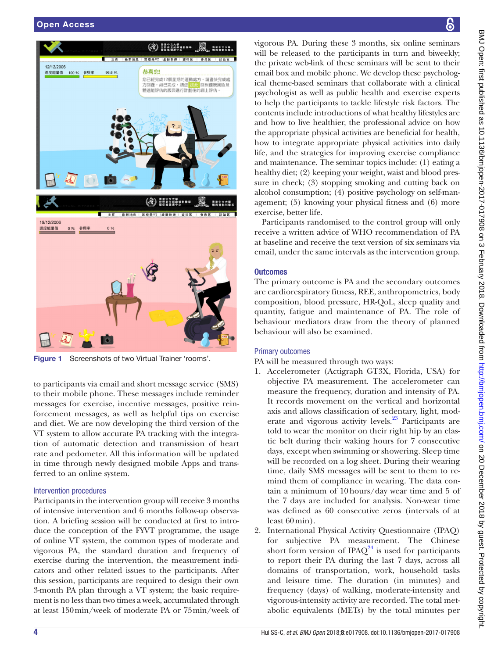

Figure 1 Screenshots of two Virtual Trainer 'rooms'.

<span id="page-3-0"></span>to participants via email and short message service (SMS) to their mobile phone. These messages include reminder messages for exercise, incentive messages, positive reinforcement messages, as well as helpful tips on exercise and diet. We are now developing the third version of the VT system to allow accurate PA tracking with the integration of automatic detection and transmission of heart rate and pedometer. All this information will be updated in time through newly designed mobile Apps and transferred to an online system.

#### Intervention procedures

Participants in the intervention group will receive 3 months of intensive intervention and 6 months follow-up observation. A briefing session will be conducted at first to introduce the conception of the FYVT programme, the usage of online VT system, the common types of moderate and vigorous PA, the standard duration and frequency of exercise during the intervention, the measurement indicators and other related issues to the participants. After this session, participants are required to design their own 3-month PA plan through a VT system; the basic requirement is no less than two times a week, accumulated through at least 150min/week of moderate PA or 75min/week of

vigorous PA. During these 3 months, six online seminars will be released to the participants in turn and biweekly; the private web-link of these seminars will be sent to their email box and mobile phone. We develop these psychological theme-based seminars that collaborate with a clinical psychologist as well as public health and exercise experts to help the participants to tackle lifestyle risk factors. The contents include introductions of what healthy lifestyles are and how to live healthier, the professional advice on how the appropriate physical activities are beneficial for health, how to integrate appropriate physical activities into daily life, and the strategies for improving exercise compliance

and maintenance. The seminar topics include: (1) eating a healthy diet; (2) keeping your weight, waist and blood pressure in check; (3) stopping smoking and cutting back on alcohol consumption; (4) positive psychology on self-management; (5) knowing your physical fitness and (6) more exercise, better life.

Participants randomised to the control group will only receive a written advice of WHO recommendation of PA at baseline and receive the text version of six seminars via email, under the same intervals as the intervention group.

#### **Outcomes**

The primary outcome is PA and the secondary outcomes are cardiorespiratory fitness, REE, anthropometrics, body composition, blood pressure, HR-QoL, sleep quality and quantity, fatigue and maintenance of PA. The role of behaviour mediators draw from the theory of planned behaviour will also be examined.

#### Primary outcomes

PA will be measured through two ways:

- 1. Accelerometer (Actigraph GT3X, Florida, USA) for objective PA measurement. The accelerometer can measure the frequency, duration and intensity of PA. It records movement on the vertical and horizontal axis and allows classification of sedentary, light, moderate and vigorous activity levels.<sup>23</sup> Participants are told to wear the monitor on their right hip by an elastic belt during their waking hours for 7 consecutive days, except when swimming or showering. Sleep time will be recorded on a log sheet. During their wearing time, daily SMS messages will be sent to them to remind them of compliance in wearing. The data contain a minimum of 10hours/day wear time and 5 of the 7 days are included for analysis. Non-wear time was defined as 60 consecutive zeros (intervals of at least 60min).
- 2. International Physical Activity Questionnaire (IPAQ) for subjective PA measurement. The Chinese short form version of IPAQ $^{24}$  $^{24}$  $^{24}$  is used for participants to report their PA during the last 7 days, across all domains of transportation, work, household tasks and leisure time. The duration (in minutes) and frequency (days) of walking, moderate-intensity and vigorous-intensity activity are recorded. The total metabolic equivalents (METs) by the total minutes per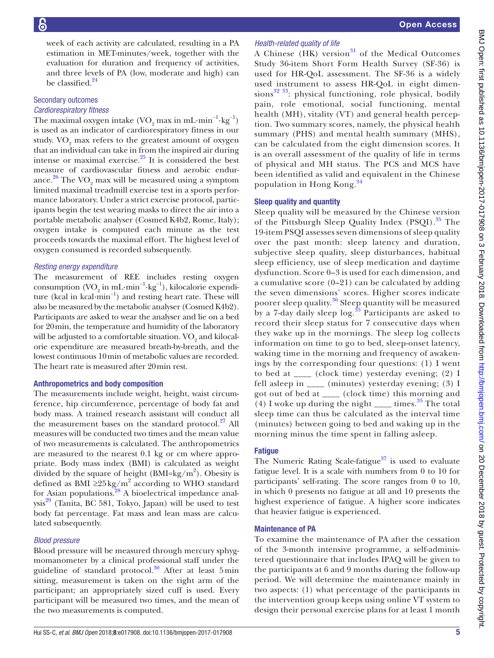week of each activity are calculated, resulting in a PA estimation in MET-minutes/week, together with the evaluation for duration and frequency of activities, and three levels of PA (low, moderate and high) can be classified.<sup>[24](#page-8-8)</sup>

#### Secondary outcomes *Cardiorespiratory fitness*

The maximal oxygen intake  $(\rm VO_{2}$  max in mL·min<sup>-1</sup>·kg<sup>-1</sup>) is used as an indicator of cardiorespiratory fitness in our study.  $\rm VO_{2}$  max refers to the greatest amount of oxygen that an individual can take in from the inspired air during intense or maximal exercise. $^{25}$  It is considered the best measure of cardiovascular fitness and aerobic endurance. $^{26}$  $^{26}$  $^{26}$  The VO<sub>2</sub> max will be measured using a symptom limited maximal treadmill exercise test in a sports performance laboratory. Under a strict exercise protocol, participants begin the test wearing masks to direct the air into a portable metabolic analyser (Cosmed K4b2, Rome, Italy); oxygen intake is computed each minute as the test proceeds towards the maximal effort. The highest level of oxygen consumed is recorded subsequently.

#### *Resting energy expenditure*

The measurement of REE includes resting oxygen consumption (VO<sub>2</sub> in mL·min<sup>-1</sup>·kg<sup>-1</sup>), kilocalorie expenditure (kcal in kcal·min−1) and resting heart rate. These will also be measured by the metabolic analyser (Cosmed K4b2). Participants are asked to wear the analyser and lie on a bed for 20min, the temperature and humidity of the laboratory will be adjusted to a comfortable situation.  $\mathrm{VO}_2$  and kilocalorie expenditure are measured breath-by-breath, and the lowest continuous 10min of metabolic values are recorded. The heart rate is measured after 20min rest.

#### Anthropometrics and body composition

The measurements include weight, height, waist circumference, hip circumference, percentage of body fat and body mass. A trained research assistant will conduct all the measurement bases on the standard protocol. $27$  All measures will be conducted two times and the mean value of two measurements is calculated. The anthropometrics are measured to the nearest 0.1 kg or cm where appropriate. Body mass index (BMI) is calculated as weight divided by the square of height  $(BMI = kg/m^2)$ . Obesity is defined as BMI  $\geq$ 25 kg/m<sup>2</sup> according to WHO standard for Asian populations.<sup>[28](#page-8-12)</sup> A bioelectrical impedance anal $ysis<sup>29</sup>$  (Tanita, BC 581, Tokyo, Japan) will be used to test body fat percentage. Fat mass and lean mass are calculated subsequently.

#### *Blood pressure*

Blood pressure will be measured through mercury sphygmomanometer by a clinical professional staff under the guideline of standard protocol.<sup>30</sup> After at least 5min sitting, measurement is taken on the right arm of the participant; an appropriately sized cuff is used. Every participant will be measured two times, and the mean of the two measurements is computed.

# *Health-related quality of life*

A Chinese  $(HK)$  version<sup>31</sup> of the Medical Outcomes Study 36-item Short Form Health Survey (SF-36) is used for HR-QoL assessment. The SF-36 is a widely used instrument to assess HR-QoL in eight dimensions $32$ <sup>33</sup>: physical functioning, role physical, bodily pain, role emotional, social functioning, mental health (MH), vitality (VT) and general health perception. Two summary scores, namely, the physical health summary (PHS) and mental health summary (MHS), can be calculated from the eight dimension scores. It is an overall assessment of the quality of life in terms of physical and MH status. The PCS and MCS have been identified as valid and equivalent in the Chinese population in Hong Kong.[34](#page-8-17)

#### Sleep quality and quantity

Sleep quality will be measured by the Chinese version of the Pittsburgh Sleep Quality Index (PSQI).<sup>35</sup> The 19-item PSQI assesses seven dimensions of sleep quality over the past month: sleep latency and duration, subjective sleep quality, sleep disturbances, habitual sleep efficiency, use of sleep medication and daytime dysfunction. Score 0–3 is used for each dimension, and a cumulative score  $(0-21)$  can be calculated by adding the seven dimensions' scores. Higher scores indicate poorer sleep quality.[36](#page-8-19) Sleep quantity will be measured by a 7-day daily sleep  $\log$ <sup>[35](#page-8-18)</sup> Participants are asked to record their sleep status for 7 consecutive days when they wake up in the mornings. The sleep log collects information on time to go to bed, sleep-onset latency, waking time in the morning and frequency of awakenings by the corresponding four questions: (1) I went to bed at \_\_\_\_ (clock time) yesterday evening; (2) I fell asleep in \_\_\_\_ (minutes) yesterday evening; (3) I got out of bed at \_\_\_\_ (clock time) this morning and (4) I woke up during the night  $\frac{1}{\sqrt{2}}$  times.<sup>[35](#page-8-18)</sup> The total sleep time can thus be calculated as the interval time (minutes) between going to bed and waking up in the morning minus the time spent in falling asleep.

#### **Fatique**

The Numeric Rating Scale-fatigue<sup>[37](#page-8-20)</sup> is used to evaluate fatigue level. It is a scale with numbers from 0 to 10 for participants' self-rating. The score ranges from 0 to 10, in which 0 presents no fatigue at all and 10 presents the highest experience of fatigue. A higher score indicates that heavier fatigue is experienced.

#### Maintenance of PA

To examine the maintenance of PA after the cessation of the 3-month intensive programme, a self-administered questionnaire that includes IPAQ will be given to the participants at 6 and 9 months during the follow-up period. We will determine the maintenance mainly in two aspects: (1) what percentage of the participants in the intervention group keeps using online VT system to design their personal exercise plans for at least 1 month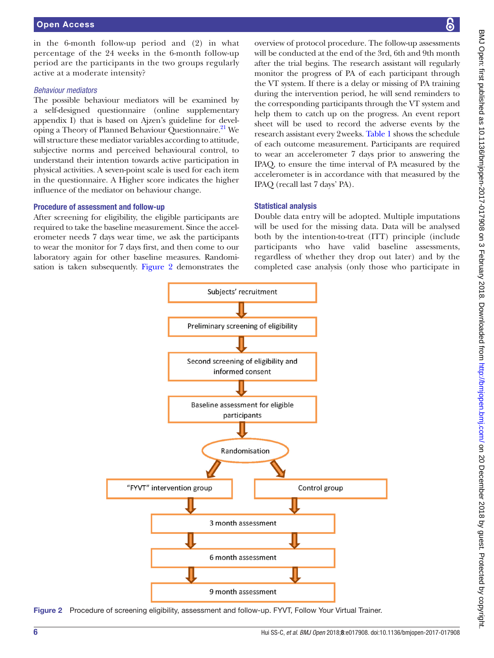in the 6-month follow-up period and (2) in what percentage of the 24 weeks in the 6-month follow-up period are the participants in the two groups regularly active at a moderate intensity?

#### *Behaviour mediators*

The possible behaviour mediators will be examined by a self-designed questionnaire (online [supplementary](https://dx.doi.org/10.1136/bmjopen-2017-017908) [appendix](https://dx.doi.org/10.1136/bmjopen-2017-017908) I) that is based on Ajzen's guideline for developing a Theory of Planned Behaviour Questionnaire.<sup>21</sup> We will structure these mediator variables according to attitude, subjective norms and perceived behavioural control, to understand their intention towards active participation in physical activities. A seven-point scale is used for each item in the questionnaire. A Higher score indicates the higher influence of the mediator on behaviour change.

#### Procedure of assessment and follow-up

After screening for eligibility, the eligible participants are required to take the baseline measurement. Since the accelerometer needs 7 days wear time, we ask the participants to wear the monitor for 7 days first, and then come to our laboratory again for other baseline measures. Randomisation is taken subsequently. [Figure](#page-5-0) 2 demonstrates the

overview of protocol procedure. The follow-up assessments will be conducted at the end of the 3rd, 6th and 9th month after the trial begins. The research assistant will regularly monitor the progress of PA of each participant through the VT system. If there is a delay or missing of PA training during the intervention period, he will send reminders to the corresponding participants through the VT system and help them to catch up on the progress. An event report sheet will be used to record the adverse events by the research assistant every 2weeks. [Table](#page-6-0) 1 shows the schedule of each outcome measurement. Participants are required to wear an accelerometer 7 days prior to answering the IPAQ, to ensure the time interval of PA measured by the accelerometer is in accordance with that measured by the IPAQ (recall last 7 days' PA).

#### Statistical analysis

Double data entry will be adopted. Multiple imputations will be used for the missing data. Data will be analysed both by the intention-to-treat (ITT) principle (include participants who have valid baseline assessments, regardless of whether they drop out later) and by the completed case analysis (only those who participate in



<span id="page-5-0"></span>Figure 2 Procedure of screening eligibility, assessment and follow-up. FYVT, Follow Your Virtual Trainer.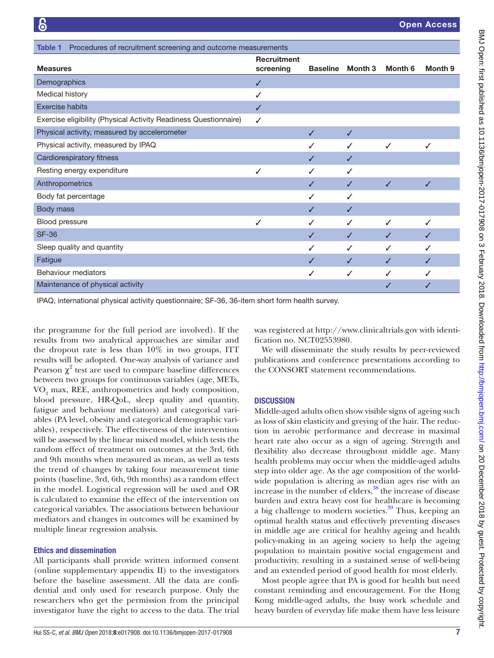<span id="page-6-0"></span>

| Procedures of recruitment screening and outcome measurements<br>Table 1 |                                 |                 |              |         |         |
|-------------------------------------------------------------------------|---------------------------------|-----------------|--------------|---------|---------|
| <b>Measures</b>                                                         | <b>Recruitment</b><br>screening | <b>Baseline</b> | Month 3      | Month 6 | Month 9 |
| Demographics                                                            | ✓                               |                 |              |         |         |
| Medical history                                                         | ✓                               |                 |              |         |         |
| <b>Exercise habits</b>                                                  | ✓                               |                 |              |         |         |
| Exercise eligibility (Physical Activity Readiness Questionnaire)        | ✓                               |                 |              |         |         |
| Physical activity, measured by accelerometer                            |                                 | ✓               | J            |         |         |
| Physical activity, measured by IPAQ                                     |                                 |                 | J            | ✓       | ✓       |
| Cardiorespiratory fitness                                               |                                 |                 | ✓            |         |         |
| Resting energy expenditure                                              | ✓                               |                 | ✓            |         |         |
| Anthropometrics                                                         |                                 |                 | J            | J       | ✓       |
| Body fat percentage                                                     |                                 |                 | J            |         |         |
| Body mass                                                               |                                 | ✓               | J            |         |         |
| Blood pressure                                                          | ✓                               |                 | ✓            | ✓       | ✓       |
| <b>SF-36</b>                                                            |                                 | ✓               | ✓            | ✓       | ✓       |
| Sleep quality and quantity                                              |                                 | ✓               | ✓            | ✓       | J       |
| Fatigue                                                                 |                                 | ✓               | $\checkmark$ | ✓       | J       |
| <b>Behaviour mediators</b>                                              |                                 | ✓               | $\checkmark$ | ✓       |         |
| Maintenance of physical activity                                        |                                 |                 |              | ✓       |         |

IPAQ, international physical activity questionnaire; SF-36, 36-item short form health survey.

the programme for the full period are involved). If the results from two analytical approaches are similar and the dropout rate is less than 10% in two groups, ITT results will be adopted. One-way analysis of variance and Pearson  $\chi^2$  test are used to compare baseline differences between two groups for continuous variables (age, METs,  $\rm VO_{2}$  max, REE, anthropometrics and body composition, blood pressure, HR-QoL, sleep quality and quantity, fatigue and behaviour mediators) and categorical variables (PA level, obesity and categorical demographic variables), respectively. The effectiveness of the intervention will be assessed by the linear mixed model, which tests the random effect of treatment on outcomes at the 3rd, 6th and 9th months when measured as mean, as well as tests the trend of changes by taking four measurement time points (baseline, 3rd, 6th, 9th months) as a random effect in the model. Logistical regression will be used and OR is calculated to examine the effect of the intervention on categorical variables. The associations between behaviour mediators and changes in outcomes will be examined by multiple linear regression analysis.

#### Ethics and dissemination

All participants shall provide written informed consent (online [supplementary appendix](https://dx.doi.org/10.1136/bmjopen-2017-017908) II) to the investigators before the baseline assessment. All the data are confidential and only used for research purpose. Only the researchers who get the permission from the principal investigator have the right to access to the data. The trial

was registered at<http://www.clinicaltrials.gov>with identification no. NCT02553980.

We will disseminate the study results by peer-reviewed publications and conference presentations according to the CONSORT statement recommendations.

#### **DISCUSSION**

Middle-aged adults often show visible signs of ageing such as loss of skin elasticity and greying of the hair. The reduction in aerobic performance and decrease in maximal heart rate also occur as a sign of ageing. Strength and flexibility also decrease throughout middle age. Many health problems may occur when the middle-aged adults step into older age. As the age composition of the worldwide population is altering as median ages rise with an increase in the number of elders,<sup>[38](#page-8-22)</sup> the increase of disease burden and extra heavy cost for healthcare is becoming a big challenge to modern societies.<sup>39</sup> Thus, keeping an optimal health status and effectively preventing diseases in middle age are critical for healthy ageing and health policy-making in an ageing society to help the ageing population to maintain positive social engagement and productivity, resulting in a sustained sense of well-being and an extended period of good health for most elderly.

Most people agree that PA is good for health but need constant reminding and encouragement. For the Hong Kong middle-aged adults, the busy work schedule and heavy burden of everyday life make them have less leisure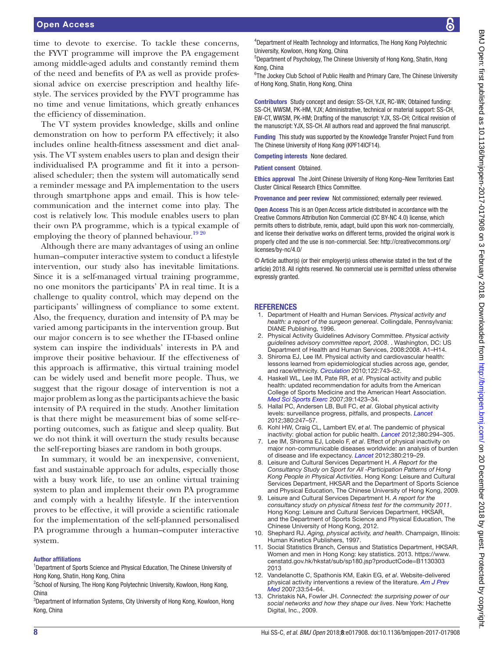time to devote to exercise. To tackle these concerns, the FYVT programme will improve the PA engagement among middle-aged adults and constantly remind them of the need and benefits of PA as well as provide professional advice on exercise prescription and healthy lifestyle. The services provided by the FYVT programme has no time and venue limitations, which greatly enhances the efficiency of dissemination.

The VT system provides knowledge, skills and online demonstration on how to perform PA effectively; it also includes online health-fitness assessment and diet analysis. The VT system enables users to plan and design their individualised PA programme and fit it into a personalised scheduler; then the system will automatically send a reminder message and PA implementation to the users through smartphone apps and email. This is how telecommunication and the internet come into play. The cost is relatively low. This module enables users to plan their own PA programme, which is a typical example of employing the theory of planned behaviour.<sup>19 20</sup>

Although there are many advantages of using an online human–computer interactive system to conduct a lifestyle intervention, our study also has inevitable limitations. Since it is a self-managed virtual training programme, no one monitors the participants' PA in real time. It is a challenge to quality control, which may depend on the participants' willingness of compliance to some extent. Also, the frequency, duration and intensity of PA may be varied among participants in the intervention group. But our major concern is to see whether the IT-based online system can inspire the individuals' interests in PA and improve their positive behaviour. If the effectiveness of this approach is affirmative, this virtual training model can be widely used and benefit more people. Thus, we suggest that the rigour dosage of intervention is not a major problem as long as the participants achieve the basic intensity of PA required in the study. Another limitation is that there might be measurement bias of some self-reporting outcomes, such as fatigue and sleep quality. But we do not think it will overturn the study results because the self-reporting biases are random in both groups.

In summary, it would be an inexpensive, convenient, fast and sustainable approach for adults, especially those with a busy work life, to use an online virtual training system to plan and implement their own PA programme and comply with a healthy lifestyle. If the intervention proves to be effective, it will provide a scientific rationale for the implementation of the self-planned personalised PA programme through a human–computer interactive system.

#### Author affiliations

<sup>1</sup>Department of Sports Science and Physical Education, The Chinese University of Hong Kong, Shatin, Hong Kong, China

<sup>2</sup>School of Nursing, The Hong Kong Polytechnic University, Kowloon, Hong Kong, China

<sup>3</sup>Department of Information Systems, City University of Hong Kong, Kowloon, Hong Kong, China

4 Department of Health Technology and Informatics, The Hong Kong Polytechnic University, Kowloon, Hong Kong, China

5 Department of Psychology, The Chinese University of Hong Kong, Shatin, Hong Kong, China

<sup>6</sup>The Jockey Club School of Public Health and Primary Care, The Chinese University of Hong Kong, Shatin, Hong Kong, China

Contributors Study concept and design: SS-CH, YJX, RC-WK; Obtained funding: SS-CH, WWSM, PK-HM, YJX; Administrative, technical or material support: SS-CH, EW-CT, WWSM, PK-HM; Drafting of the manuscript: YJX, SS-CH; Critical revision of the manuscript: YJX, SS-CH. All authors read and approved the final manuscript.

Funding This study was supported by the Knowledge Transfer Project Fund from The Chinese University of Hong Kong (KPF14ICF14).

Competing interests None declared.

Patient consent Obtained.

Ethics approval The Joint Chinese University of Hong Kong–New Territories East Cluster Clinical Research Ethics Committee.

Provenance and peer review Not commissioned; externally peer reviewed.

Open Access This is an Open Access article distributed in accordance with the Creative Commons Attribution Non Commercial (CC BY-NC 4.0) license, which permits others to distribute, remix, adapt, build upon this work non-commercially, and license their derivative works on different terms, provided the original work is properly cited and the use is non-commercial. See: [http://creativecommons.org/](http://creativecommons.org/licenses/by-nc/4.0/) [licenses/by-nc/4.0/](http://creativecommons.org/licenses/by-nc/4.0/)

© Article author(s) (or their employer(s) unless otherwise stated in the text of the article) 2018. All rights reserved. No commercial use is permitted unless otherwise expressly granted.

#### **REFERENCES**

- <span id="page-7-0"></span>1. Department of Health and Human Services. *Physical activity and health: a report of the surgeon genereal*. Collingdale, Pennsylvania: DIANE Publishing, 1996.
- 2. Physical Activity Guidelines Advisory Committee. *Physical activity guidelines advisory committee report, 2008*. . Washington, DC: US Department of Health and Human Services, 2008:2008. A1–H14.
- 3. Shiroma EJ, Lee IM. Physical activity and cardiovascular health: lessons learned from epidemiological studies across age, gender, and race/ethnicity. *[Circulation](http://dx.doi.org/10.1161/CIRCULATIONAHA.109.914721)* 2010;122:743–52.
- 4. Haskell WL, Lee IM, Pate RR, *et al*. Physical activity and public health: updated recommendation for adults from the American College of Sports Medicine and the American Heart Association. *[Med Sci Sports Exerc](http://dx.doi.org/10.1249/mss.0b013e3180616b27)* 2007;39:1423–34.
- <span id="page-7-1"></span>5. Hallal PC, Andersen LB, Bull FC, *et al*. Global physical activity levels: surveillance progress, pitfalls, and prospects. *[Lancet](http://dx.doi.org/10.1016/S0140-6736(12)60646-1)* 2012;380:247–57.
- <span id="page-7-2"></span>6. Kohl HW, Craig CL, Lambert EV, *et al*. The pandemic of physical inactivity: global action for public health. *[Lancet](http://dx.doi.org/10.1016/S0140-6736(12)60898-8)* 2012;380:294–305.
- 7. Lee IM, Shiroma EJ, Lobelo F, *et al*. Effect of physical inactivity on major non-communicable diseases worldwide: an analysis of burden of disease and life expectancy. *[Lancet](http://dx.doi.org/10.1016/S0140-6736(12)61031-9)* 2012;380:219–29.
- <span id="page-7-3"></span>8. Leisure and Cultural Services Department H. *A Report for the Consultancy Study on Sport for All -Participation Patterns of Hong Kong People in Physical Activities*. Hong Kong: Leisure and Cultural Services Department, HKSAR and the Department of Sports Science and Physical Education, The Chinese University of Hong Kong, 2009.
- 9. Leisure and Cultural Services Department H. *A report for the consultancy study on physical fitness test for the community 2011*. Hong Kong: Leisure and Cultural Services Department, HKSAR, and the Department of Sports Science and Physical Education, The Chinese University of Hong Kong, 2012.
- <span id="page-7-4"></span>10. Shephard RJ. *Aging, physical activity, and health*. Champaign, Illinois: Human Kinetics Publishers, 1997.
- <span id="page-7-5"></span>11. Social Statistics Branch, Census and Statistics Department, HKSAR. Women and men in Hong Kong: key statistics. 2013. [https://www.](https://www.censtatd.gov.hk/hkstat/sub/sp180.jsp?productCode=B1130303 2013) [censtatd.gov.hk/hkstat/sub/sp180.jsp?productCode=B1130303](https://www.censtatd.gov.hk/hkstat/sub/sp180.jsp?productCode=B1130303 2013)  [2013](https://www.censtatd.gov.hk/hkstat/sub/sp180.jsp?productCode=B1130303 2013)
- <span id="page-7-6"></span>12. Vandelanotte C, Spathonis KM, Eakin EG, *et al*. Website-delivered physical activity interventions a review of the literature. *[Am J Prev](http://dx.doi.org/10.1016/j.amepre.2007.02.041)  [Med](http://dx.doi.org/10.1016/j.amepre.2007.02.041)* 2007;33:54–64.
- 13. Christakis NA, Fowler JH. *Connected: the surprising power of our social networks and how they shape our lives*. New York: Hachette Digital, Inc., 2009.